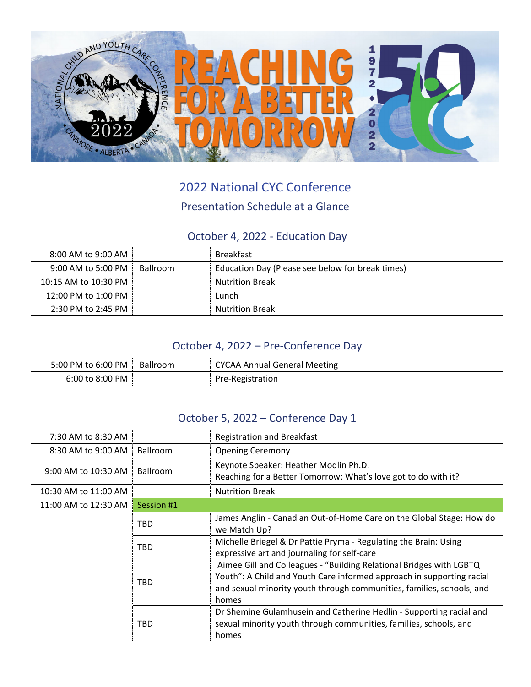

# 2022 National CYC Conference

#### Presentation Schedule at a Glance

### October 4, 2022 ‐ Education Day

| $8:00$ AM to $9:00$ AM $\pm$ |          | Breakfast                                        |
|------------------------------|----------|--------------------------------------------------|
| $9:00$ AM to 5:00 PM $\,$ :  | Ballroom | Education Day (Please see below for break times) |
| 10:15 AM to 10:30 PM         |          | <b>Nutrition Break</b>                           |
| 12:00 PM to 1:00 PM          |          | Lunch                                            |
| 2:30 PM to 2:45 PM           |          | <b>Nutrition Break</b>                           |

### October 4, 2022 – Pre‐Conference Day

| 5:00 PM to 6:00 PM Ballroom | <b>CYCAA Annual General Meeting</b> |
|-----------------------------|-------------------------------------|
| 6:00 to 8:00 PM             | Pre-Registration                    |

#### October 5, 2022 – Conference Day 1

| 7:30 AM to 8:30 AM   |                 | <b>Registration and Breakfast</b>                                                                                                                                                                                              |
|----------------------|-----------------|--------------------------------------------------------------------------------------------------------------------------------------------------------------------------------------------------------------------------------|
| 8:30 AM to 9:00 AM   | <b>Ballroom</b> | <b>Opening Ceremony</b>                                                                                                                                                                                                        |
| 9:00 AM to 10:30 AM  | <b>Ballroom</b> | Keynote Speaker: Heather Modlin Ph.D.<br>Reaching for a Better Tomorrow: What's love got to do with it?                                                                                                                        |
| 10:30 AM to 11:00 AM |                 | <b>Nutrition Break</b>                                                                                                                                                                                                         |
| 11:00 AM to 12:30 AM | Session #1      |                                                                                                                                                                                                                                |
|                      | TBD             | James Anglin - Canadian Out-of-Home Care on the Global Stage: How do<br>we Match Up?                                                                                                                                           |
|                      | TBD             | Michelle Briegel & Dr Pattie Pryma - Regulating the Brain: Using<br>expressive art and journaling for self-care                                                                                                                |
|                      | TBD             | Aimee Gill and Colleagues - "Building Relational Bridges with LGBTQ<br>Youth": A Child and Youth Care informed approach in supporting racial<br>and sexual minority youth through communities, families, schools, and<br>homes |
|                      | TBD             | Dr Shemine Gulamhusein and Catherine Hedlin - Supporting racial and<br>sexual minority youth through communities, families, schools, and<br>homes                                                                              |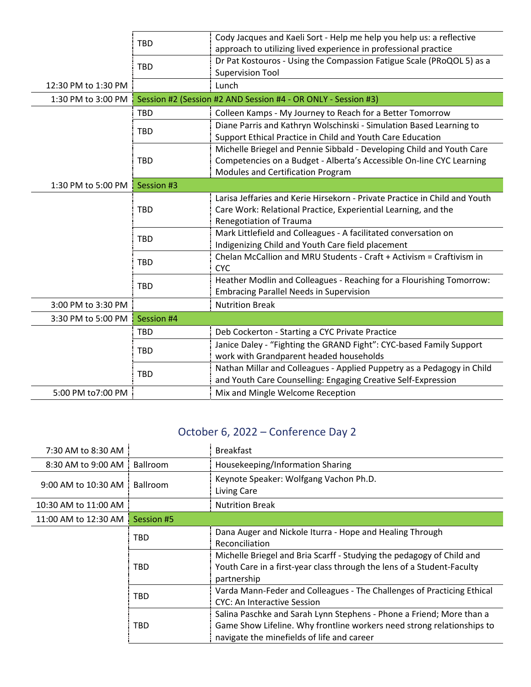|                     | <b>TBD</b> | Cody Jacques and Kaeli Sort - Help me help you help us: a reflective<br>approach to utilizing lived experience in professional practice                                            |
|---------------------|------------|------------------------------------------------------------------------------------------------------------------------------------------------------------------------------------|
|                     | <b>TBD</b> | Dr Pat Kostouros - Using the Compassion Fatigue Scale (PRoQOL 5) as a<br><b>Supervision Tool</b>                                                                                   |
| 12:30 PM to 1:30 PM |            | Lunch                                                                                                                                                                              |
| 1:30 PM to 3:00 PM  |            | Session #2 (Session #2 AND Session #4 - OR ONLY - Session #3)                                                                                                                      |
|                     | <b>TBD</b> | Colleen Kamps - My Journey to Reach for a Better Tomorrow                                                                                                                          |
|                     | <b>TBD</b> | Diane Parris and Kathryn Wolschinski - Simulation Based Learning to<br>Support Ethical Practice in Child and Youth Care Education                                                  |
|                     | <b>TBD</b> | Michelle Briegel and Pennie Sibbald - Developing Child and Youth Care<br>Competencies on a Budget - Alberta's Accessible On-line CYC Learning<br>Modules and Certification Program |
| 1:30 PM to 5:00 PM  | Session #3 |                                                                                                                                                                                    |
|                     | <b>TBD</b> | Larisa Jeffaries and Kerie Hirsekorn - Private Practice in Child and Youth<br>Care Work: Relational Practice, Experiential Learning, and the<br>Renegotiation of Trauma            |
|                     | <b>TBD</b> | Mark Littlefield and Colleagues - A facilitated conversation on<br>Indigenizing Child and Youth Care field placement                                                               |
|                     | <b>TBD</b> | Chelan McCallion and MRU Students - Craft + Activism = Craftivism in<br><b>CYC</b>                                                                                                 |
|                     | <b>TBD</b> | Heather Modlin and Colleagues - Reaching for a Flourishing Tomorrow:<br><b>Embracing Parallel Needs in Supervision</b>                                                             |
| 3:00 PM to 3:30 PM  |            | <b>Nutrition Break</b>                                                                                                                                                             |
| 3:30 PM to 5:00 PM  | Session #4 |                                                                                                                                                                                    |
|                     | <b>TBD</b> | Deb Cockerton - Starting a CYC Private Practice                                                                                                                                    |
|                     | <b>TBD</b> | Janice Daley - "Fighting the GRAND Fight": CYC-based Family Support<br>work with Grandparent headed households                                                                     |
|                     | <b>TBD</b> | Nathan Millar and Colleagues - Applied Puppetry as a Pedagogy in Child<br>and Youth Care Counselling: Engaging Creative Self-Expression                                            |
| 5:00 PM to7:00 PM   |            | Mix and Mingle Welcome Reception                                                                                                                                                   |

## October 6, 2022 – Conference Day 2

| 7:30 AM to 8:30 AM   |                 | <b>Breakfast</b>                                                                                                                                                                             |
|----------------------|-----------------|----------------------------------------------------------------------------------------------------------------------------------------------------------------------------------------------|
| 8:30 AM to 9:00 AM   | <b>Ballroom</b> | Housekeeping/Information Sharing                                                                                                                                                             |
| 9:00 AM to 10:30 AM  | <b>Ballroom</b> | Keynote Speaker: Wolfgang Vachon Ph.D.<br>Living Care                                                                                                                                        |
| 10:30 AM to 11:00 AM |                 | <b>Nutrition Break</b>                                                                                                                                                                       |
| 11:00 AM to 12:30 AM | Session #5      |                                                                                                                                                                                              |
|                      | TBD             | Dana Auger and Nickole Iturra - Hope and Healing Through<br>Reconciliation                                                                                                                   |
|                      | TBD             | Michelle Briegel and Bria Scarff - Studying the pedagogy of Child and<br>Youth Care in a first-year class through the lens of a Student-Faculty<br>partnership                               |
|                      | TBD             | Varda Mann-Feder and Colleagues - The Challenges of Practicing Ethical<br>CYC: An Interactive Session                                                                                        |
|                      | TBD             | Salina Paschke and Sarah Lynn Stephens - Phone a Friend; More than a<br>Game Show Lifeline. Why frontline workers need strong relationships to<br>navigate the minefields of life and career |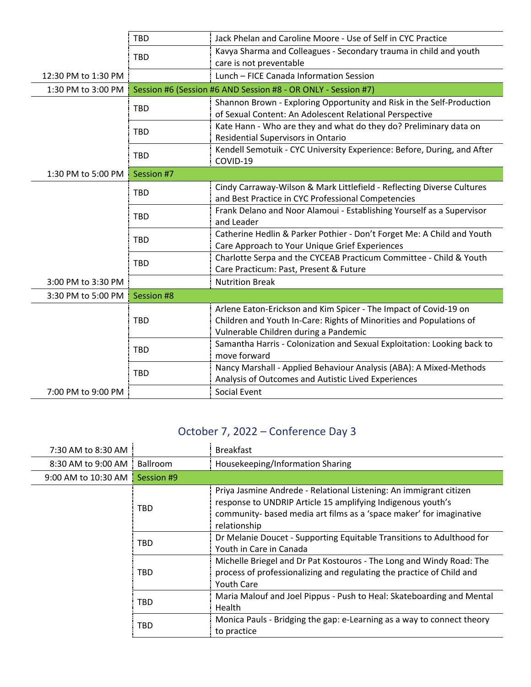|                     | TBD        | Jack Phelan and Caroline Moore - Use of Self in CYC Practice            |
|---------------------|------------|-------------------------------------------------------------------------|
|                     | <b>TBD</b> | Kavya Sharma and Colleagues - Secondary trauma in child and youth       |
|                     |            | care is not preventable                                                 |
| 12:30 PM to 1:30 PM |            | Lunch - FICE Canada Information Session                                 |
| 1:30 PM to 3:00 PM  |            | Session #6 (Session #6 AND Session #8 - OR ONLY - Session #7)           |
|                     | <b>TBD</b> | Shannon Brown - Exploring Opportunity and Risk in the Self-Production   |
|                     |            | of Sexual Content: An Adolescent Relational Perspective                 |
|                     |            | Kate Hann - Who are they and what do they do? Preliminary data on       |
|                     | <b>TBD</b> | Residential Supervisors in Ontario                                      |
|                     | TBD        | Kendell Semotuik - CYC University Experience: Before, During, and After |
|                     |            | COVID-19                                                                |
| 1:30 PM to 5:00 PM  | Session #7 |                                                                         |
|                     | TBD        | Cindy Carraway-Wilson & Mark Littlefield - Reflecting Diverse Cultures  |
|                     |            | and Best Practice in CYC Professional Competencies                      |
|                     | <b>TBD</b> | Frank Delano and Noor Alamoui - Establishing Yourself as a Supervisor   |
|                     |            | and Leader                                                              |
|                     | <b>TBD</b> | Catherine Hedlin & Parker Pothier - Don't Forget Me: A Child and Youth  |
|                     |            | Care Approach to Your Unique Grief Experiences                          |
|                     | <b>TBD</b> | Charlotte Serpa and the CYCEAB Practicum Committee - Child & Youth      |
|                     |            | Care Practicum: Past, Present & Future                                  |
| 3:00 PM to 3:30 PM  |            | <b>Nutrition Break</b>                                                  |
| 3:30 PM to 5:00 PM  | Session #8 |                                                                         |
|                     |            | Arlene Eaton-Erickson and Kim Spicer - The Impact of Covid-19 on        |
|                     | <b>TBD</b> | Children and Youth In-Care: Rights of Minorities and Populations of     |
|                     |            | Vulnerable Children during a Pandemic                                   |
|                     | TBD        | Samantha Harris - Colonization and Sexual Exploitation: Looking back to |
|                     |            | move forward                                                            |
|                     | <b>TBD</b> | Nancy Marshall - Applied Behaviour Analysis (ABA): A Mixed-Methods      |
|                     |            | Analysis of Outcomes and Autistic Lived Experiences                     |
| 7:00 PM to 9:00 PM  |            | Social Event                                                            |

# October 7, 2022 – Conference Day 3

| 7:30 AM to 8:30 AM  |            | <b>Breakfast</b>                                                                                                                                                                                                         |
|---------------------|------------|--------------------------------------------------------------------------------------------------------------------------------------------------------------------------------------------------------------------------|
| 8:30 AM to 9:00 AM  | Ballroom   | Housekeeping/Information Sharing                                                                                                                                                                                         |
| 9:00 AM to 10:30 AM | Session #9 |                                                                                                                                                                                                                          |
|                     | TBD        | Priya Jasmine Andrede - Relational Listening: An immigrant citizen<br>response to UNDRIP Article 15 amplifying Indigenous youth's<br>community- based media art films as a 'space maker' for imaginative<br>relationship |
|                     | TBD        | Dr Melanie Doucet - Supporting Equitable Transitions to Adulthood for<br>Youth in Care in Canada                                                                                                                         |
|                     | TBD        | Michelle Briegel and Dr Pat Kostouros - The Long and Windy Road: The<br>process of professionalizing and regulating the practice of Child and<br><b>Youth Care</b>                                                       |
|                     | TBD        | Maria Malouf and Joel Pippus - Push to Heal: Skateboarding and Mental<br>Health                                                                                                                                          |
|                     | TBD        | Monica Pauls - Bridging the gap: e-Learning as a way to connect theory<br>to practice                                                                                                                                    |